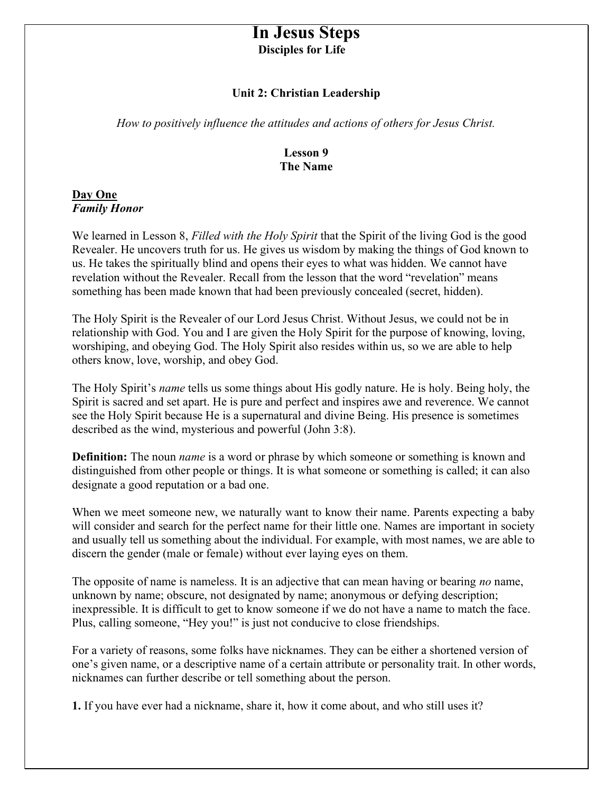# In Jesus Steps Disciples for Life

#### Unit 2: Christian Leadership

How to positively influence the attitudes and actions of others for Jesus Christ.

#### Lesson 9 The Name

#### Day One Family Honor

We learned in Lesson 8, Filled with the Holy Spirit that the Spirit of the living God is the good Revealer. He uncovers truth for us. He gives us wisdom by making the things of God known to us. He takes the spiritually blind and opens their eyes to what was hidden. We cannot have revelation without the Revealer. Recall from the lesson that the word "revelation" means something has been made known that had been previously concealed (secret, hidden).

The Holy Spirit is the Revealer of our Lord Jesus Christ. Without Jesus, we could not be in relationship with God. You and I are given the Holy Spirit for the purpose of knowing, loving, worshiping, and obeying God. The Holy Spirit also resides within us, so we are able to help others know, love, worship, and obey God.

The Holy Spirit's *name* tells us some things about His godly nature. He is holy. Being holy, the Spirit is sacred and set apart. He is pure and perfect and inspires awe and reverence. We cannot see the Holy Spirit because He is a supernatural and divine Being. His presence is sometimes described as the wind, mysterious and powerful (John 3:8).

**Definition:** The noun *name* is a word or phrase by which someone or something is known and distinguished from other people or things. It is what someone or something is called; it can also designate a good reputation or a bad one.

When we meet someone new, we naturally want to know their name. Parents expecting a baby will consider and search for the perfect name for their little one. Names are important in society and usually tell us something about the individual. For example, with most names, we are able to discern the gender (male or female) without ever laying eyes on them.

The opposite of name is nameless. It is an adjective that can mean having or bearing no name, unknown by name; obscure, not designated by name; anonymous or defying description; inexpressible. It is difficult to get to know someone if we do not have a name to match the face. Plus, calling someone, "Hey you!" is just not conducive to close friendships.

For a variety of reasons, some folks have nicknames. They can be either a shortened version of one's given name, or a descriptive name of a certain attribute or personality trait. In other words, nicknames can further describe or tell something about the person.

1. If you have ever had a nickname, share it, how it come about, and who still uses it?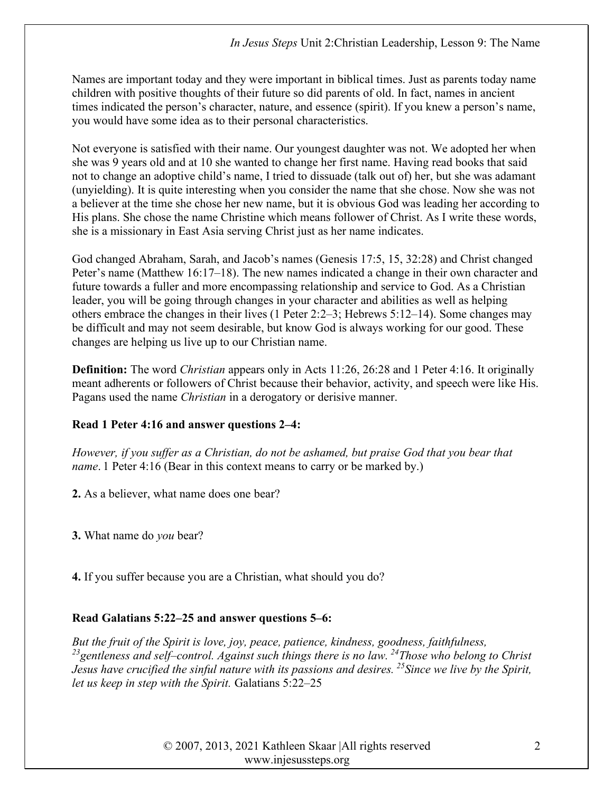Names are important today and they were important in biblical times. Just as parents today name children with positive thoughts of their future so did parents of old. In fact, names in ancient times indicated the person's character, nature, and essence (spirit). If you knew a person's name, you would have some idea as to their personal characteristics.

Not everyone is satisfied with their name. Our youngest daughter was not. We adopted her when she was 9 years old and at 10 she wanted to change her first name. Having read books that said not to change an adoptive child's name, I tried to dissuade (talk out of) her, but she was adamant (unyielding). It is quite interesting when you consider the name that she chose. Now she was not a believer at the time she chose her new name, but it is obvious God was leading her according to His plans. She chose the name Christine which means follower of Christ. As I write these words, she is a missionary in East Asia serving Christ just as her name indicates.

God changed Abraham, Sarah, and Jacob's names (Genesis 17:5, 15, 32:28) and Christ changed Peter's name (Matthew 16:17–18). The new names indicated a change in their own character and future towards a fuller and more encompassing relationship and service to God. As a Christian leader, you will be going through changes in your character and abilities as well as helping others embrace the changes in their lives (1 Peter 2:2–3; Hebrews 5:12–14). Some changes may be difficult and may not seem desirable, but know God is always working for our good. These changes are helping us live up to our Christian name.

**Definition:** The word *Christian* appears only in Acts 11:26, 26:28 and 1 Peter 4:16. It originally meant adherents or followers of Christ because their behavior, activity, and speech were like His. Pagans used the name Christian in a derogatory or derisive manner.

## Read 1 Peter 4:16 and answer questions 2–4:

However, if you suffer as a Christian, do not be ashamed, but praise God that you bear that name. 1 Peter 4:16 (Bear in this context means to carry or be marked by.)

2. As a believer, what name does one bear?

3. What name do you bear?

4. If you suffer because you are a Christian, what should you do?

# Read Galatians 5:22–25 and answer questions 5–6:

But the fruit of the Spirit is love, joy, peace, patience, kindness, goodness, faithfulness,  $^{23}$ gentleness and self-control. Against such things there is no law.  $^{24}$ Those who belong to Christ Jesus have crucified the sinful nature with its passions and desires. <sup>25</sup> Since we live by the Spirit, let us keep in step with the Spirit. Galatians 5:22–25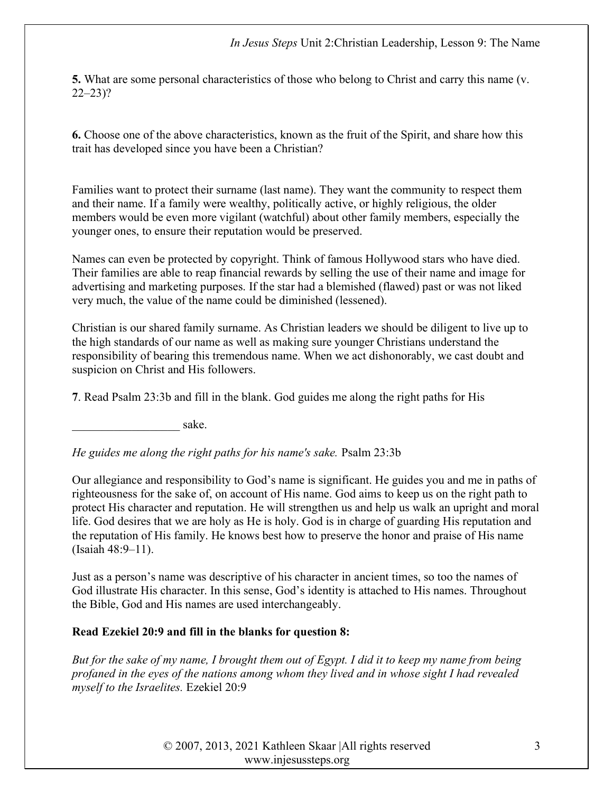5. What are some personal characteristics of those who belong to Christ and carry this name (v. 22–23)?

6. Choose one of the above characteristics, known as the fruit of the Spirit, and share how this trait has developed since you have been a Christian?

Families want to protect their surname (last name). They want the community to respect them and their name. If a family were wealthy, politically active, or highly religious, the older members would be even more vigilant (watchful) about other family members, especially the younger ones, to ensure their reputation would be preserved.

Names can even be protected by copyright. Think of famous Hollywood stars who have died. Their families are able to reap financial rewards by selling the use of their name and image for advertising and marketing purposes. If the star had a blemished (flawed) past or was not liked very much, the value of the name could be diminished (lessened).

Christian is our shared family surname. As Christian leaders we should be diligent to live up to the high standards of our name as well as making sure younger Christians understand the responsibility of bearing this tremendous name. When we act dishonorably, we cast doubt and suspicion on Christ and His followers.

7. Read Psalm 23:3b and fill in the blank. God guides me along the right paths for His

\_\_\_\_\_\_\_\_\_\_\_\_\_\_\_\_\_\_ sake.

He guides me along the right paths for his name's sake. Psalm 23:3b

Our allegiance and responsibility to God's name is significant. He guides you and me in paths of righteousness for the sake of, on account of His name. God aims to keep us on the right path to protect His character and reputation. He will strengthen us and help us walk an upright and moral life. God desires that we are holy as He is holy. God is in charge of guarding His reputation and the reputation of His family. He knows best how to preserve the honor and praise of His name (Isaiah 48:9–11).

Just as a person's name was descriptive of his character in ancient times, so too the names of God illustrate His character. In this sense, God's identity is attached to His names. Throughout the Bible, God and His names are used interchangeably.

## Read Ezekiel 20:9 and fill in the blanks for question 8:

But for the sake of my name, I brought them out of Egypt. I did it to keep my name from being profaned in the eyes of the nations among whom they lived and in whose sight I had revealed myself to the Israelites. Ezekiel 20:9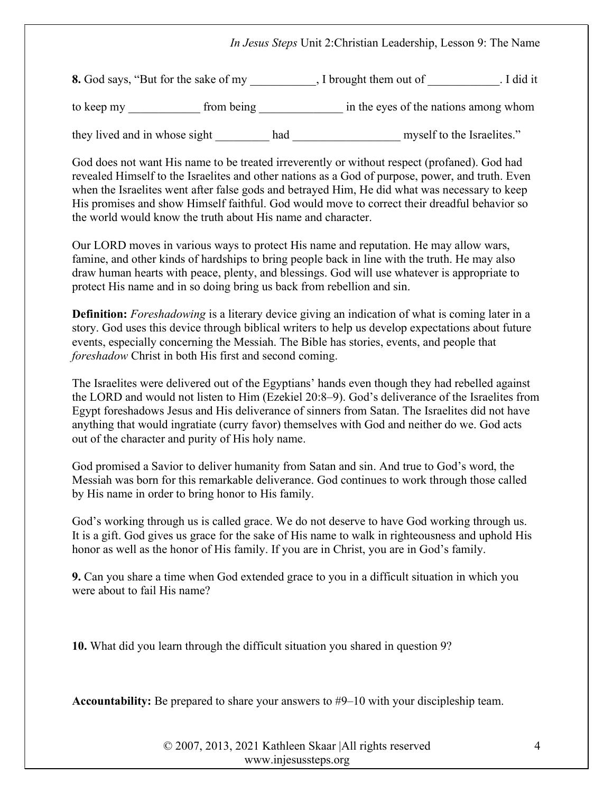## In Jesus Steps Unit 2:Christian Leadership, Lesson 9: The Name

8. God says, "But for the sake of my \_\_\_\_\_\_\_\_, I brought them out of \_\_\_\_\_\_\_\_\_\_\_. I did it

to keep my \_\_\_\_\_\_\_\_\_\_\_\_\_ from being \_\_\_\_\_\_\_\_\_\_\_\_\_\_\_ in the eyes of the nations among whom

they lived and in whose sight had had myself to the Israelites."

God does not want His name to be treated irreverently or without respect (profaned). God had revealed Himself to the Israelites and other nations as a God of purpose, power, and truth. Even when the Israelites went after false gods and betrayed Him, He did what was necessary to keep His promises and show Himself faithful. God would move to correct their dreadful behavior so the world would know the truth about His name and character.

Our LORD moves in various ways to protect His name and reputation. He may allow wars, famine, and other kinds of hardships to bring people back in line with the truth. He may also draw human hearts with peace, plenty, and blessings. God will use whatever is appropriate to protect His name and in so doing bring us back from rebellion and sin.

**Definition:** Foreshadowing is a literary device giving an indication of what is coming later in a story. God uses this device through biblical writers to help us develop expectations about future events, especially concerning the Messiah. The Bible has stories, events, and people that foreshadow Christ in both His first and second coming.

The Israelites were delivered out of the Egyptians' hands even though they had rebelled against the LORD and would not listen to Him (Ezekiel 20:8–9). God's deliverance of the Israelites from Egypt foreshadows Jesus and His deliverance of sinners from Satan. The Israelites did not have anything that would ingratiate (curry favor) themselves with God and neither do we. God acts out of the character and purity of His holy name.

God promised a Savior to deliver humanity from Satan and sin. And true to God's word, the Messiah was born for this remarkable deliverance. God continues to work through those called by His name in order to bring honor to His family.

God's working through us is called grace. We do not deserve to have God working through us. It is a gift. God gives us grace for the sake of His name to walk in righteousness and uphold His honor as well as the honor of His family. If you are in Christ, you are in God's family.

9. Can you share a time when God extended grace to you in a difficult situation in which you were about to fail His name?

10. What did you learn through the difficult situation you shared in question 9?

Accountability: Be prepared to share your answers to #9–10 with your discipleship team.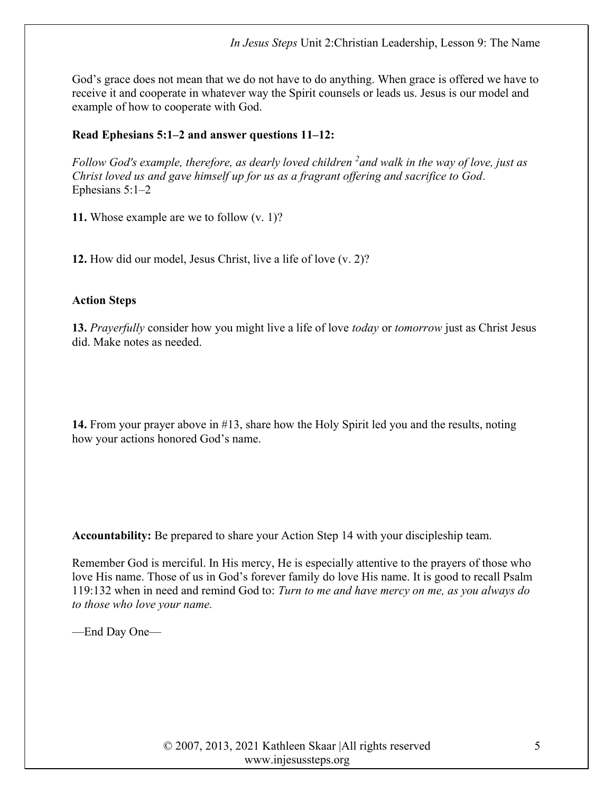God's grace does not mean that we do not have to do anything. When grace is offered we have to receive it and cooperate in whatever way the Spirit counsels or leads us. Jesus is our model and example of how to cooperate with God.

## Read Ephesians 5:1–2 and answer questions 11–12:

Follow God's example, therefore, as dearly loved children  $\lambda^2$  and walk in the way of love, just as Christ loved us and gave himself up for us as a fragrant offering and sacrifice to God. Ephesians 5:1–2

11. Whose example are we to follow (v. 1)?

12. How did our model, Jesus Christ, live a life of love (v. 2)?

## Action Steps

13. Prayerfully consider how you might live a life of love today or tomorrow just as Christ Jesus did. Make notes as needed.

14. From your prayer above in #13, share how the Holy Spirit led you and the results, noting how your actions honored God's name.

Accountability: Be prepared to share your Action Step 14 with your discipleship team.

Remember God is merciful. In His mercy, He is especially attentive to the prayers of those who love His name. Those of us in God's forever family do love His name. It is good to recall Psalm 119:132 when in need and remind God to: Turn to me and have mercy on me, as you always do to those who love your name.

—End Day One—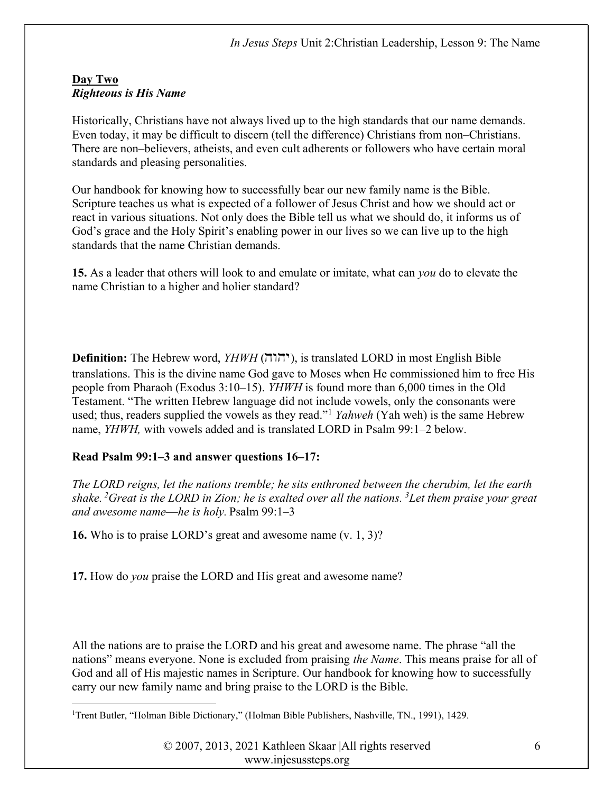## Day Two Righteous is His Name

Historically, Christians have not always lived up to the high standards that our name demands. Even today, it may be difficult to discern (tell the difference) Christians from non–Christians. There are non–believers, atheists, and even cult adherents or followers who have certain moral standards and pleasing personalities.

Our handbook for knowing how to successfully bear our new family name is the Bible. Scripture teaches us what is expected of a follower of Jesus Christ and how we should act or react in various situations. Not only does the Bible tell us what we should do, it informs us of God's grace and the Holy Spirit's enabling power in our lives so we can live up to the high standards that the name Christian demands.

15. As a leader that others will look to and emulate or imitate, what can *you* do to elevate the name Christian to a higher and holier standard?

**Definition:** The Hebrew word,  $YHWH$  (יהוה), is translated LORD in most English Bible translations. This is the divine name God gave to Moses when He commissioned him to free His people from Pharaoh (Exodus 3:10–15). YHWH is found more than 6,000 times in the Old Testament. "The written Hebrew language did not include vowels, only the consonants were used; thus, readers supplied the vowels as they read."<sup>1</sup> Yahweh (Yah weh) is the same Hebrew name, YHWH, with vowels added and is translated LORD in Psalm 99:1–2 below.

# Read Psalm 99:1–3 and answer questions 16–17:

The LORD reigns, let the nations tremble; he sits enthroned between the cherubim, let the earth shake.<sup>2</sup>Great is the LORD in Zion; he is exalted over all the nations.<sup>3</sup>Let them praise your great and awesome name—he is holy. Psalm  $99:1-3$ 

16. Who is to praise LORD's great and awesome name (v. 1, 3)?

17. How do *you* praise the LORD and His great and awesome name?

All the nations are to praise the LORD and his great and awesome name. The phrase "all the nations" means everyone. None is excluded from praising the Name. This means praise for all of God and all of His majestic names in Scripture. Our handbook for knowing how to successfully carry our new family name and bring praise to the LORD is the Bible.

<sup>1</sup>Trent Butler, "Holman Bible Dictionary," (Holman Bible Publishers, Nashville, TN., 1991), 1429.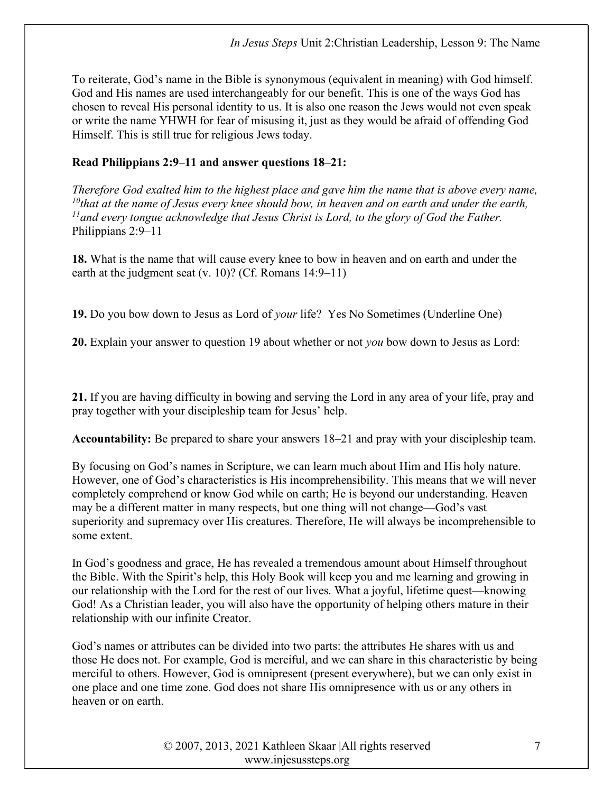To reiterate, God's name in the Bible is synonymous (equivalent in meaning) with God himself. God and His names are used interchangeably for our benefit. This is one of the ways God has chosen to reveal His personal identity to us. It is also one reason the Jews would not even speak or write the name YHWH for fear of misusing it, just as they would be afraid of offending God Himself. This is still true for religious Jews today.

#### Read Philippians 2:9–11 and answer questions 18–21:

Therefore God exalted him to the highest place and gave him the name that is above every name,  $10$ that at the name of Jesus every knee should bow, in heaven and on earth and under the earth,  $11$  and every tongue acknowledge that Jesus Christ is Lord, to the glory of God the Father. Philippians 2:9–11

18. What is the name that will cause every knee to bow in heaven and on earth and under the earth at the judgment seat (v. 10)? (Cf. Romans 14:9–11)

19. Do you bow down to Jesus as Lord of your life? Yes No Sometimes (Underline One)

20. Explain your answer to question 19 about whether or not you bow down to Jesus as Lord:

21. If you are having difficulty in bowing and serving the Lord in any area of your life, pray and pray together with your discipleship team for Jesus' help.

Accountability: Be prepared to share your answers 18–21 and pray with your discipleship team.

By focusing on God's names in Scripture, we can learn much about Him and His holy nature. However, one of God's characteristics is His incomprehensibility. This means that we will never completely comprehend or know God while on earth; He is beyond our understanding. Heaven may be a different matter in many respects, but one thing will not change—God's vast superiority and supremacy over His creatures. Therefore, He will always be incomprehensible to some extent.

In God's goodness and grace, He has revealed a tremendous amount about Himself throughout the Bible. With the Spirit's help, this Holy Book will keep you and me learning and growing in our relationship with the Lord for the rest of our lives. What a joyful, lifetime quest—knowing God! As a Christian leader, you will also have the opportunity of helping others mature in their relationship with our infinite Creator.

God's names or attributes can be divided into two parts: the attributes He shares with us and those He does not. For example, God is merciful, and we can share in this characteristic by being merciful to others. However, God is omnipresent (present everywhere), but we can only exist in one place and one time zone. God does not share His omnipresence with us or any others in heaven or on earth.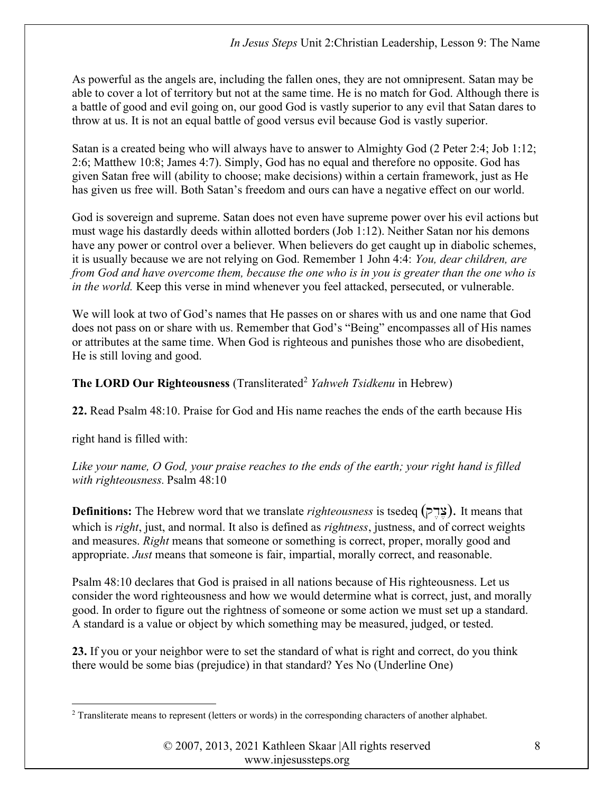As powerful as the angels are, including the fallen ones, they are not omnipresent. Satan may be able to cover a lot of territory but not at the same time. He is no match for God. Although there is a battle of good and evil going on, our good God is vastly superior to any evil that Satan dares to throw at us. It is not an equal battle of good versus evil because God is vastly superior.

Satan is a created being who will always have to answer to Almighty God (2 Peter 2:4; Job 1:12; 2:6; Matthew 10:8; James 4:7). Simply, God has no equal and therefore no opposite. God has given Satan free will (ability to choose; make decisions) within a certain framework, just as He has given us free will. Both Satan's freedom and ours can have a negative effect on our world.

God is sovereign and supreme. Satan does not even have supreme power over his evil actions but must wage his dastardly deeds within allotted borders (Job 1:12). Neither Satan nor his demons have any power or control over a believer. When believers do get caught up in diabolic schemes, it is usually because we are not relying on God. Remember 1 John 4:4: You, dear children, are from God and have overcome them, because the one who is in you is greater than the one who is in the world. Keep this verse in mind whenever you feel attacked, persecuted, or vulnerable.

We will look at two of God's names that He passes on or shares with us and one name that God does not pass on or share with us. Remember that God's "Being" encompasses all of His names or attributes at the same time. When God is righteous and punishes those who are disobedient, He is still loving and good.

The LORD Our Righteousness (Transliterated<sup>2</sup> Yahweh Tsidkenu in Hebrew)

22. Read Psalm 48:10. Praise for God and His name reaches the ends of the earth because His

right hand is filled with:

Like your name, O God, your praise reaches to the ends of the earth; your right hand is filled with righteousness. Psalm 48:10

**Definitions:** The Hebrew word that we translate *righteousness* is tsedeq (צרק). It means that which is *right*, just, and normal. It also is defined as *rightness*, justness, and of correct weights and measures. *Right* means that someone or something is correct, proper, morally good and appropriate. Just means that someone is fair, impartial, morally correct, and reasonable.

Psalm 48:10 declares that God is praised in all nations because of His righteousness. Let us consider the word righteousness and how we would determine what is correct, just, and morally good. In order to figure out the rightness of someone or some action we must set up a standard. A standard is a value or object by which something may be measured, judged, or tested.

23. If you or your neighbor were to set the standard of what is right and correct, do you think there would be some bias (prejudice) in that standard? Yes No (Underline One)

<sup>&</sup>lt;sup>2</sup> Transliterate means to represent (letters or words) in the corresponding characters of another alphabet.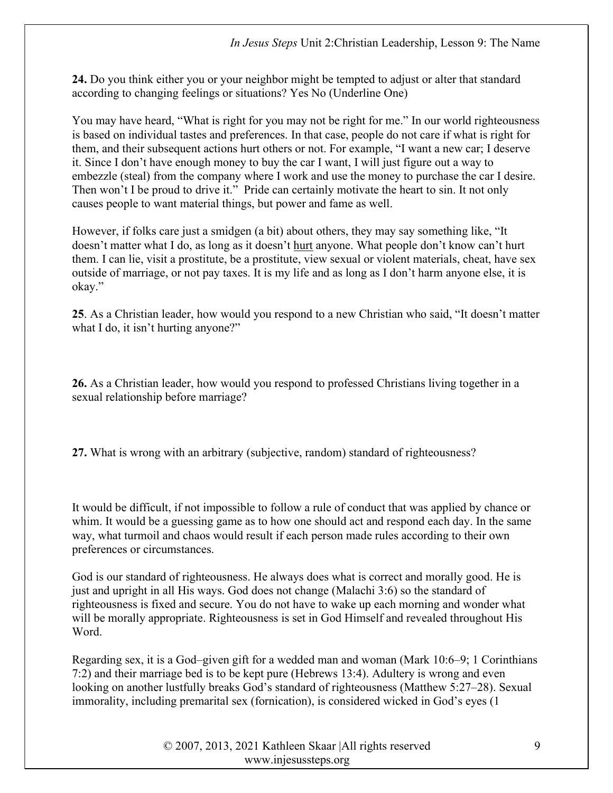24. Do you think either you or your neighbor might be tempted to adjust or alter that standard according to changing feelings or situations? Yes No (Underline One)

You may have heard, "What is right for you may not be right for me." In our world righteousness is based on individual tastes and preferences. In that case, people do not care if what is right for them, and their subsequent actions hurt others or not. For example, "I want a new car; I deserve it. Since I don't have enough money to buy the car I want, I will just figure out a way to embezzle (steal) from the company where I work and use the money to purchase the car I desire. Then won't I be proud to drive it." Pride can certainly motivate the heart to sin. It not only causes people to want material things, but power and fame as well.

However, if folks care just a smidgen (a bit) about others, they may say something like, "It doesn't matter what I do, as long as it doesn't hurt anyone. What people don't know can't hurt them. I can lie, visit a prostitute, be a prostitute, view sexual or violent materials, cheat, have sex outside of marriage, or not pay taxes. It is my life and as long as I don't harm anyone else, it is okay."

25. As a Christian leader, how would you respond to a new Christian who said, "It doesn't matter what I do, it isn't hurting anyone?"

26. As a Christian leader, how would you respond to professed Christians living together in a sexual relationship before marriage?

27. What is wrong with an arbitrary (subjective, random) standard of righteousness?

It would be difficult, if not impossible to follow a rule of conduct that was applied by chance or whim. It would be a guessing game as to how one should act and respond each day. In the same way, what turmoil and chaos would result if each person made rules according to their own preferences or circumstances.

God is our standard of righteousness. He always does what is correct and morally good. He is just and upright in all His ways. God does not change (Malachi 3:6) so the standard of righteousness is fixed and secure. You do not have to wake up each morning and wonder what will be morally appropriate. Righteousness is set in God Himself and revealed throughout His Word.

Regarding sex, it is a God–given gift for a wedded man and woman (Mark 10:6–9; 1 Corinthians 7:2) and their marriage bed is to be kept pure (Hebrews 13:4). Adultery is wrong and even looking on another lustfully breaks God's standard of righteousness (Matthew 5:27–28). Sexual immorality, including premarital sex (fornication), is considered wicked in God's eyes (1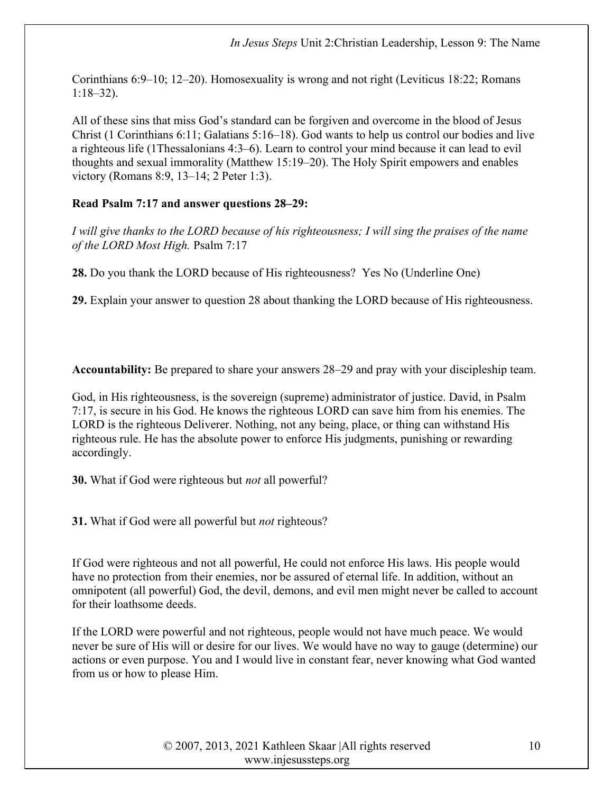Corinthians 6:9–10; 12–20). Homosexuality is wrong and not right (Leviticus 18:22; Romans 1:18–32).

All of these sins that miss God's standard can be forgiven and overcome in the blood of Jesus Christ (1 Corinthians 6:11; Galatians 5:16–18). God wants to help us control our bodies and live a righteous life (1Thessalonians 4:3–6). Learn to control your mind because it can lead to evil thoughts and sexual immorality (Matthew 15:19–20). The Holy Spirit empowers and enables victory (Romans 8:9, 13–14; 2 Peter 1:3).

## Read Psalm 7:17 and answer questions 28–29:

I will give thanks to the LORD because of his righteousness; I will sing the praises of the name of the LORD Most High. Psalm 7:17

28. Do you thank the LORD because of His righteousness? Yes No (Underline One)

29. Explain your answer to question 28 about thanking the LORD because of His righteousness.

Accountability: Be prepared to share your answers 28–29 and pray with your discipleship team.

God, in His righteousness, is the sovereign (supreme) administrator of justice. David, in Psalm 7:17, is secure in his God. He knows the righteous LORD can save him from his enemies. The LORD is the righteous Deliverer. Nothing, not any being, place, or thing can withstand His righteous rule. He has the absolute power to enforce His judgments, punishing or rewarding accordingly.

30. What if God were righteous but *not* all powerful?

31. What if God were all powerful but *not* righteous?

If God were righteous and not all powerful, He could not enforce His laws. His people would have no protection from their enemies, nor be assured of eternal life. In addition, without an omnipotent (all powerful) God, the devil, demons, and evil men might never be called to account for their loathsome deeds.

If the LORD were powerful and not righteous, people would not have much peace. We would never be sure of His will or desire for our lives. We would have no way to gauge (determine) our actions or even purpose. You and I would live in constant fear, never knowing what God wanted from us or how to please Him.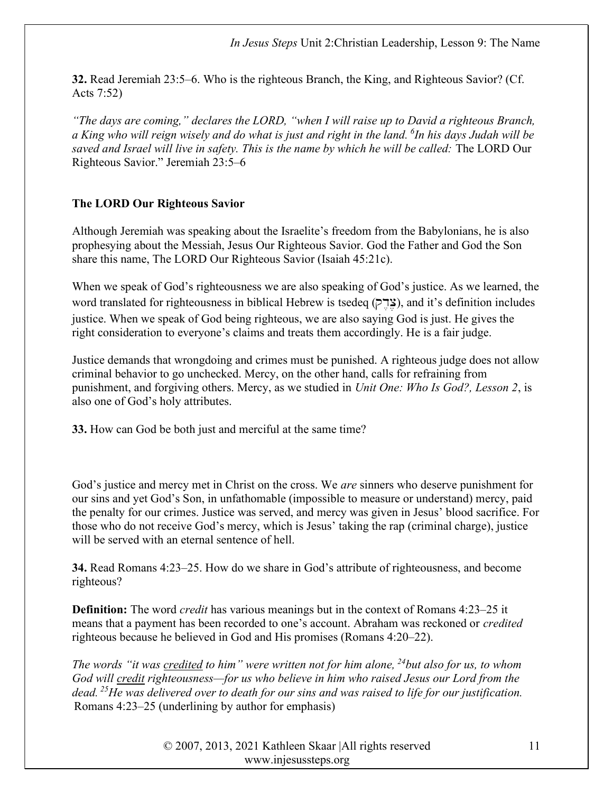32. Read Jeremiah 23:5–6. Who is the righteous Branch, the King, and Righteous Savior? (Cf. Acts 7:52)

"The days are coming," declares the LORD, "when I will raise up to David a righteous Branch, a King who will reign wisely and do what is just and right in the land.  $\delta$ In his days Judah will be saved and Israel will live in safety. This is the name by which he will be called: The LORD Our Righteous Savior." Jeremiah 23:5–6

## The LORD Our Righteous Savior

Although Jeremiah was speaking about the Israelite's freedom from the Babylonians, he is also prophesying about the Messiah, Jesus Our Righteous Savior. God the Father and God the Son share this name, The LORD Our Righteous Savior (Isaiah 45:21c).

When we speak of God's righteousness we are also speaking of God's justice. As we learned, the word translated for righteousness in biblical Hebrew is tsedeq ( $\epsilon$ "x"), and it's definition includes justice. When we speak of God being righteous, we are also saying God is just. He gives the right consideration to everyone's claims and treats them accordingly. He is a fair judge.

Justice demands that wrongdoing and crimes must be punished. A righteous judge does not allow criminal behavior to go unchecked. Mercy, on the other hand, calls for refraining from punishment, and forgiving others. Mercy, as we studied in Unit One: Who Is God?, Lesson 2, is also one of God's holy attributes.

33. How can God be both just and merciful at the same time?

God's justice and mercy met in Christ on the cross. We *are* sinners who deserve punishment for our sins and yet God's Son, in unfathomable (impossible to measure or understand) mercy, paid the penalty for our crimes. Justice was served, and mercy was given in Jesus' blood sacrifice. For those who do not receive God's mercy, which is Jesus' taking the rap (criminal charge), justice will be served with an eternal sentence of hell.

34. Read Romans 4:23–25. How do we share in God's attribute of righteousness, and become righteous?

**Definition:** The word *credit* has various meanings but in the context of Romans 4:23–25 it means that a payment has been recorded to one's account. Abraham was reckoned or credited righteous because he believed in God and His promises (Romans 4:20–22).

The words "it was credited to him" were written not for him alone,  $^{24}$ but also for us, to whom God will credit righteousness—for us who believe in him who raised Jesus our Lord from the dead. <sup>25</sup>He was delivered over to death for our sins and was raised to life for our justification. Romans 4:23–25 (underlining by author for emphasis)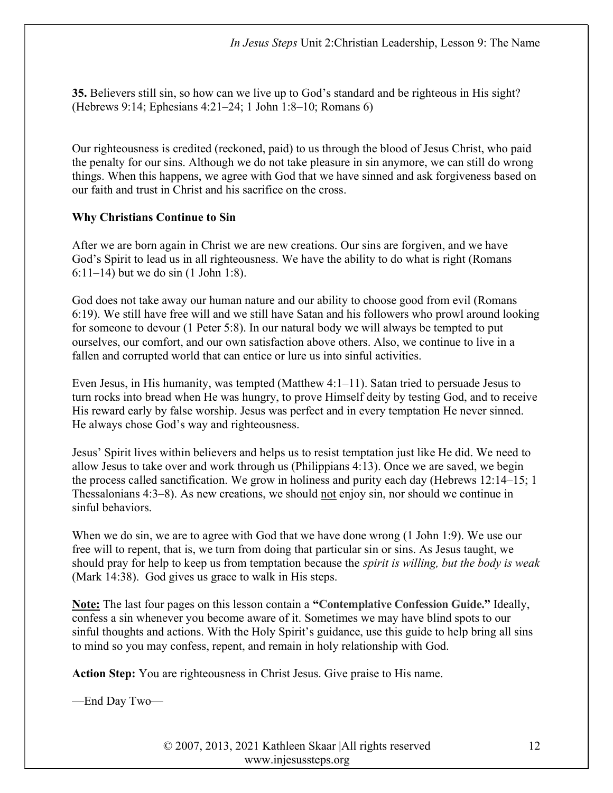35. Believers still sin, so how can we live up to God's standard and be righteous in His sight? (Hebrews 9:14; Ephesians 4:21–24; 1 John 1:8–10; Romans 6)

Our righteousness is credited (reckoned, paid) to us through the blood of Jesus Christ, who paid the penalty for our sins. Although we do not take pleasure in sin anymore, we can still do wrong things. When this happens, we agree with God that we have sinned and ask forgiveness based on our faith and trust in Christ and his sacrifice on the cross.

## Why Christians Continue to Sin

After we are born again in Christ we are new creations. Our sins are forgiven, and we have God's Spirit to lead us in all righteousness. We have the ability to do what is right (Romans 6:11–14) but we do sin (1 John 1:8).

God does not take away our human nature and our ability to choose good from evil (Romans 6:19). We still have free will and we still have Satan and his followers who prowl around looking for someone to devour (1 Peter 5:8). In our natural body we will always be tempted to put ourselves, our comfort, and our own satisfaction above others. Also, we continue to live in a fallen and corrupted world that can entice or lure us into sinful activities.

Even Jesus, in His humanity, was tempted (Matthew 4:1–11). Satan tried to persuade Jesus to turn rocks into bread when He was hungry, to prove Himself deity by testing God, and to receive His reward early by false worship. Jesus was perfect and in every temptation He never sinned. He always chose God's way and righteousness.

Jesus' Spirit lives within believers and helps us to resist temptation just like He did. We need to allow Jesus to take over and work through us (Philippians 4:13). Once we are saved, we begin the process called sanctification. We grow in holiness and purity each day (Hebrews 12:14–15; 1 Thessalonians 4:3–8). As new creations, we should not enjoy sin, nor should we continue in sinful behaviors.

When we do sin, we are to agree with God that we have done wrong (1 John 1:9). We use our free will to repent, that is, we turn from doing that particular sin or sins. As Jesus taught, we should pray for help to keep us from temptation because the *spirit is willing, but the body is weak* (Mark 14:38). God gives us grace to walk in His steps.

Note: The last four pages on this lesson contain a "Contemplative Confession Guide." Ideally, confess a sin whenever you become aware of it. Sometimes we may have blind spots to our sinful thoughts and actions. With the Holy Spirit's guidance, use this guide to help bring all sins to mind so you may confess, repent, and remain in holy relationship with God.

Action Step: You are righteousness in Christ Jesus. Give praise to His name.

—End Day Two—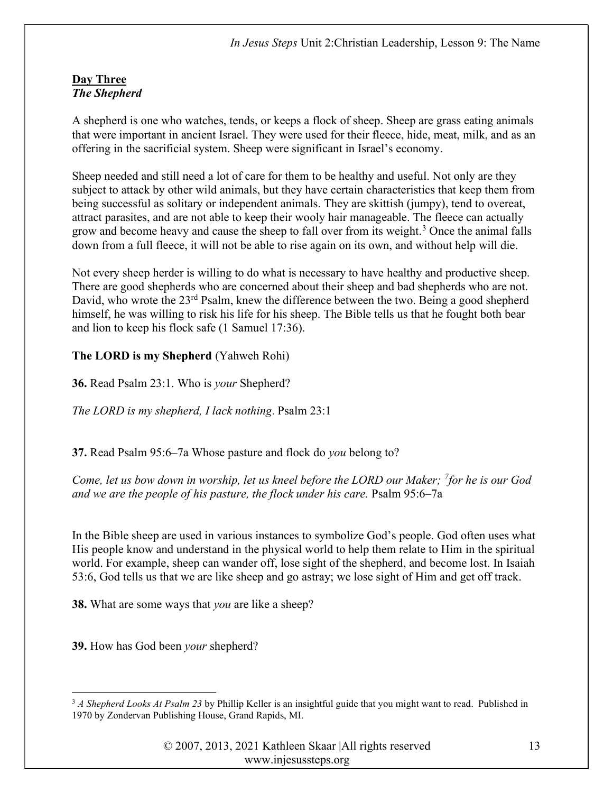#### Day Three The Shepherd

A shepherd is one who watches, tends, or keeps a flock of sheep. Sheep are grass eating animals that were important in ancient Israel. They were used for their fleece, hide, meat, milk, and as an offering in the sacrificial system. Sheep were significant in Israel's economy.

Sheep needed and still need a lot of care for them to be healthy and useful. Not only are they subject to attack by other wild animals, but they have certain characteristics that keep them from being successful as solitary or independent animals. They are skittish (jumpy), tend to overeat, attract parasites, and are not able to keep their wooly hair manageable. The fleece can actually grow and become heavy and cause the sheep to fall over from its weight.<sup>3</sup> Once the animal falls down from a full fleece, it will not be able to rise again on its own, and without help will die.

Not every sheep herder is willing to do what is necessary to have healthy and productive sheep. There are good shepherds who are concerned about their sheep and bad shepherds who are not. David, who wrote the  $23<sup>rd</sup>$  Psalm, knew the difference between the two. Being a good shepherd himself, he was willing to risk his life for his sheep. The Bible tells us that he fought both bear and lion to keep his flock safe (1 Samuel 17:36).

## The LORD is my Shepherd (Yahweh Rohi)

**36.** Read Psalm 23:1. Who is *your* Shepherd?

The LORD is my shepherd, I lack nothing. Psalm 23:1

37. Read Psalm 95:6–7a Whose pasture and flock do you belong to?

Come, let us bow down in worship, let us kneel before the LORD our Maker; <sup>7</sup>for he is our God and we are the people of his pasture, the flock under his care. Psalm 95:6–7a

In the Bible sheep are used in various instances to symbolize God's people. God often uses what His people know and understand in the physical world to help them relate to Him in the spiritual world. For example, sheep can wander off, lose sight of the shepherd, and become lost. In Isaiah 53:6, God tells us that we are like sheep and go astray; we lose sight of Him and get off track.

**38.** What are some ways that *you* are like a sheep?

39. How has God been your shepherd?

 $3$  A Shepherd Looks At Psalm 23 by Phillip Keller is an insightful guide that you might want to read. Published in 1970 by Zondervan Publishing House, Grand Rapids, MI.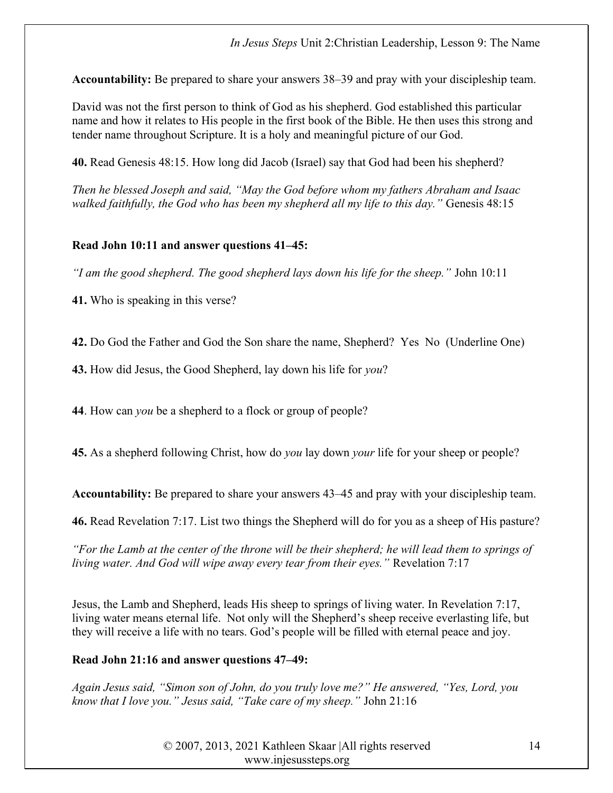Accountability: Be prepared to share your answers 38–39 and pray with your discipleship team.

David was not the first person to think of God as his shepherd. God established this particular name and how it relates to His people in the first book of the Bible. He then uses this strong and tender name throughout Scripture. It is a holy and meaningful picture of our God.

40. Read Genesis 48:15. How long did Jacob (Israel) say that God had been his shepherd?

Then he blessed Joseph and said, "May the God before whom my fathers Abraham and Isaac walked faithfully, the God who has been my shepherd all my life to this day." Genesis 48:15

## Read John 10:11 and answer questions 41–45:

"I am the good shepherd. The good shepherd lays down his life for the sheep." John 10:11

41. Who is speaking in this verse?

42. Do God the Father and God the Son share the name, Shepherd? Yes No (Underline One)

43. How did Jesus, the Good Shepherd, lay down his life for you?

44. How can *you* be a shepherd to a flock or group of people?

45. As a shepherd following Christ, how do *you* lay down *your* life for your sheep or people?

Accountability: Be prepared to share your answers 43–45 and pray with your discipleship team.

46. Read Revelation 7:17. List two things the Shepherd will do for you as a sheep of His pasture?

"For the Lamb at the center of the throne will be their shepherd; he will lead them to springs of living water. And God will wipe away every tear from their eyes." Revelation 7:17

Jesus, the Lamb and Shepherd, leads His sheep to springs of living water. In Revelation 7:17, living water means eternal life. Not only will the Shepherd's sheep receive everlasting life, but they will receive a life with no tears. God's people will be filled with eternal peace and joy.

# Read John 21:16 and answer questions 47–49:

Again Jesus said, "Simon son of John, do you truly love me?" He answered, "Yes, Lord, you know that I love you." Jesus said, "Take care of my sheep." John 21:16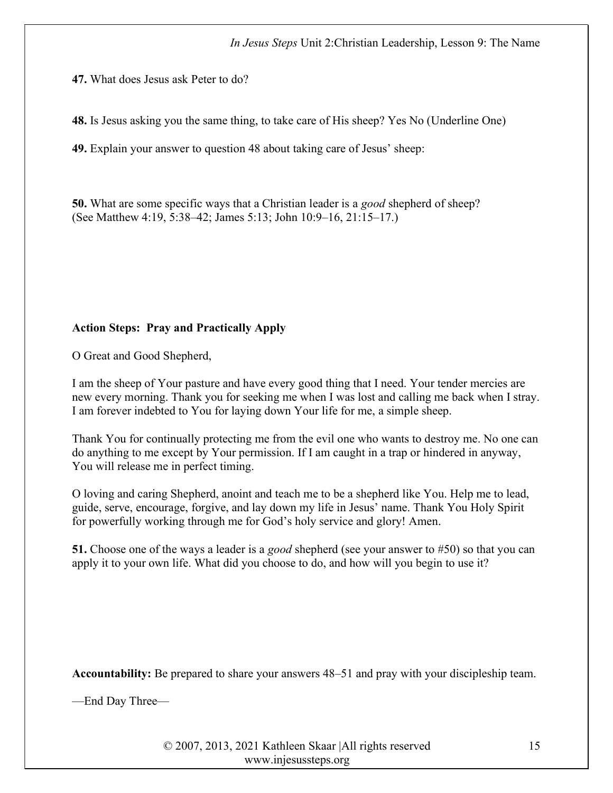47. What does Jesus ask Peter to do?

48. Is Jesus asking you the same thing, to take care of His sheep? Yes No (Underline One)

49. Explain your answer to question 48 about taking care of Jesus' sheep:

50. What are some specific ways that a Christian leader is a *good* shepherd of sheep? (See Matthew 4:19, 5:38–42; James 5:13; John 10:9–16, 21:15–17.)

# Action Steps: Pray and Practically Apply

O Great and Good Shepherd,

I am the sheep of Your pasture and have every good thing that I need. Your tender mercies are new every morning. Thank you for seeking me when I was lost and calling me back when I stray. I am forever indebted to You for laying down Your life for me, a simple sheep.

Thank You for continually protecting me from the evil one who wants to destroy me. No one can do anything to me except by Your permission. If I am caught in a trap or hindered in anyway, You will release me in perfect timing.

O loving and caring Shepherd, anoint and teach me to be a shepherd like You. Help me to lead, guide, serve, encourage, forgive, and lay down my life in Jesus' name. Thank You Holy Spirit for powerfully working through me for God's holy service and glory! Amen.

51. Choose one of the ways a leader is a good shepherd (see your answer to #50) so that you can apply it to your own life. What did you choose to do, and how will you begin to use it?

Accountability: Be prepared to share your answers 48–51 and pray with your discipleship team.

—End Day Three—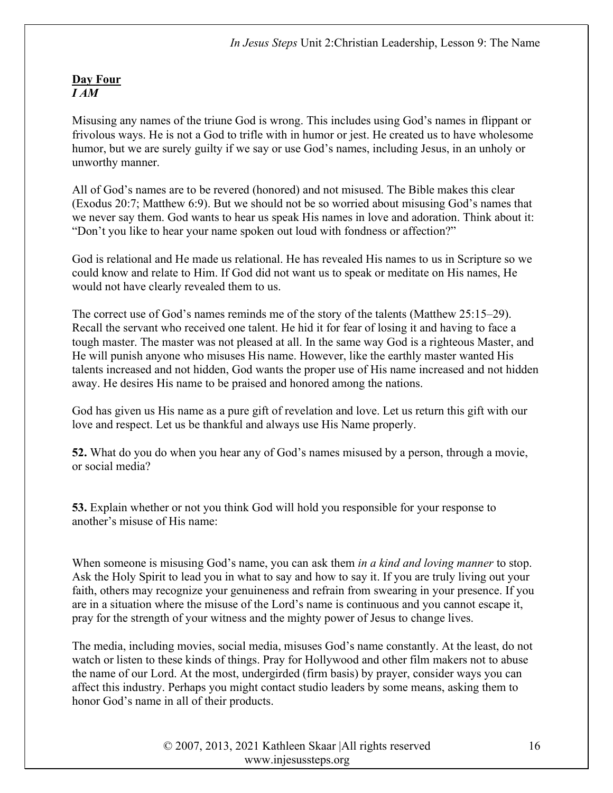## Day Four I AM

Misusing any names of the triune God is wrong. This includes using God's names in flippant or frivolous ways. He is not a God to trifle with in humor or jest. He created us to have wholesome humor, but we are surely guilty if we say or use God's names, including Jesus, in an unholy or unworthy manner.

All of God's names are to be revered (honored) and not misused. The Bible makes this clear (Exodus 20:7; Matthew 6:9). But we should not be so worried about misusing God's names that we never say them. God wants to hear us speak His names in love and adoration. Think about it: "Don't you like to hear your name spoken out loud with fondness or affection?"

God is relational and He made us relational. He has revealed His names to us in Scripture so we could know and relate to Him. If God did not want us to speak or meditate on His names, He would not have clearly revealed them to us.

The correct use of God's names reminds me of the story of the talents (Matthew 25:15–29). Recall the servant who received one talent. He hid it for fear of losing it and having to face a tough master. The master was not pleased at all. In the same way God is a righteous Master, and He will punish anyone who misuses His name. However, like the earthly master wanted His talents increased and not hidden, God wants the proper use of His name increased and not hidden away. He desires His name to be praised and honored among the nations.

God has given us His name as a pure gift of revelation and love. Let us return this gift with our love and respect. Let us be thankful and always use His Name properly.

52. What do you do when you hear any of God's names misused by a person, through a movie, or social media?

53. Explain whether or not you think God will hold you responsible for your response to another's misuse of His name:

When someone is misusing God's name, you can ask them *in a kind and loving manner* to stop. Ask the Holy Spirit to lead you in what to say and how to say it. If you are truly living out your faith, others may recognize your genuineness and refrain from swearing in your presence. If you are in a situation where the misuse of the Lord's name is continuous and you cannot escape it, pray for the strength of your witness and the mighty power of Jesus to change lives.

The media, including movies, social media, misuses God's name constantly. At the least, do not watch or listen to these kinds of things. Pray for Hollywood and other film makers not to abuse the name of our Lord. At the most, undergirded (firm basis) by prayer, consider ways you can affect this industry. Perhaps you might contact studio leaders by some means, asking them to honor God's name in all of their products.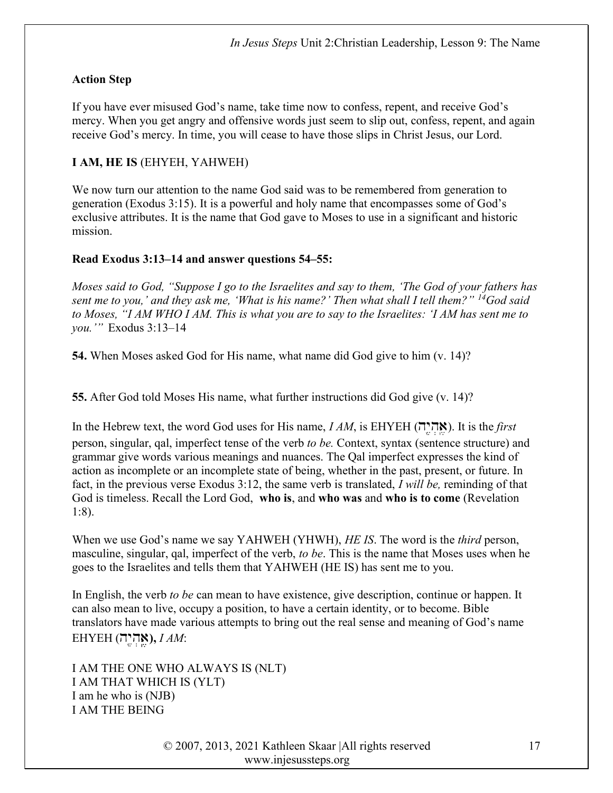## Action Step

If you have ever misused God's name, take time now to confess, repent, and receive God's mercy. When you get angry and offensive words just seem to slip out, confess, repent, and again receive God's mercy. In time, you will cease to have those slips in Christ Jesus, our Lord.

## I AM, HE IS (EHYEH, YAHWEH)

We now turn our attention to the name God said was to be remembered from generation to generation (Exodus 3:15). It is a powerful and holy name that encompasses some of God's exclusive attributes. It is the name that God gave to Moses to use in a significant and historic mission.

## Read Exodus 3:13–14 and answer questions 54–55:

Moses said to God, "Suppose I go to the Israelites and say to them, 'The God of your fathers has sent me to you,' and they ask me, 'What is his name?' Then what shall I tell them?"  $^{14}$ God said to Moses, "I AM WHO I AM. This is what you are to say to the Israelites: 'I AM has sent me to you.'" Exodus 3:13–14

54. When Moses asked God for His name, what name did God give to him (v. 14)?

55. After God told Moses His name, what further instructions did God give (v. 14)?

In the Hebrew text, the word God uses for His name,  $IAM$ , is EHYEH (אֲהָיָה). It is the *first* person, singular, qal, imperfect tense of the verb to be. Context, syntax (sentence structure) and grammar give words various meanings and nuances. The Qal imperfect expresses the kind of action as incomplete or an incomplete state of being, whether in the past, present, or future. In fact, in the previous verse Exodus 3:12, the same verb is translated, I will be, reminding of that God is timeless. Recall the Lord God, who is, and who was and who is to come (Revelation 1:8).

When we use God's name we say YAHWEH (YHWH), HE IS. The word is the third person, masculine, singular, qal, imperfect of the verb, to be. This is the name that Moses uses when he goes to the Israelites and tells them that YAHWEH (HE IS) has sent me to you.

In English, the verb to be can mean to have existence, give description, continue or happen. It can also mean to live, occupy a position, to have a certain identity, or to become. Bible translators have made various attempts to bring out the real sense and meaning of God's name  $EHYEH$  (אֱהְיֵה),  $IAM$ :

I AM THE ONE WHO ALWAYS IS (NLT) I AM THAT WHICH IS (YLT) I am he who is (NJB) I AM THE BEING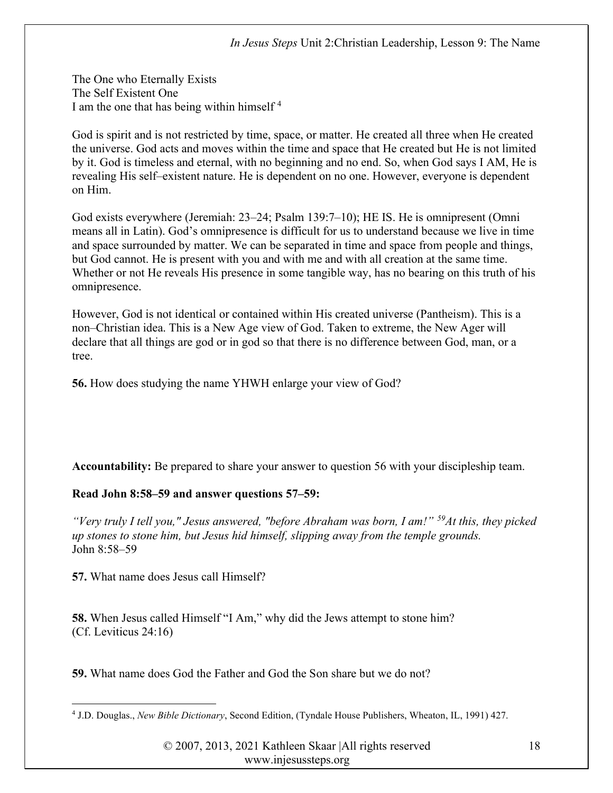The One who Eternally Exists The Self Existent One I am the one that has being within himself  $4$ 

God is spirit and is not restricted by time, space, or matter. He created all three when He created the universe. God acts and moves within the time and space that He created but He is not limited by it. God is timeless and eternal, with no beginning and no end. So, when God says I AM, He is revealing His self–existent nature. He is dependent on no one. However, everyone is dependent on Him.

God exists everywhere (Jeremiah: 23–24; Psalm 139:7–10); HE IS. He is omnipresent (Omni means all in Latin). God's omnipresence is difficult for us to understand because we live in time and space surrounded by matter. We can be separated in time and space from people and things, but God cannot. He is present with you and with me and with all creation at the same time. Whether or not He reveals His presence in some tangible way, has no bearing on this truth of his omnipresence.

However, God is not identical or contained within His created universe (Pantheism). This is a non–Christian idea. This is a New Age view of God. Taken to extreme, the New Ager will declare that all things are god or in god so that there is no difference between God, man, or a tree.

56. How does studying the name YHWH enlarge your view of God?

Accountability: Be prepared to share your answer to question 56 with your discipleship team.

## Read John 8:58–59 and answer questions 57–59:

"Very truly I tell you," Jesus answered, "before Abraham was born, I am!"  $59$ At this, they picked up stones to stone him, but Jesus hid himself, slipping away from the temple grounds. John 8:58–59

57. What name does Jesus call Himself?

58. When Jesus called Himself "I Am," why did the Jews attempt to stone him? (Cf. Leviticus 24:16)

59. What name does God the Father and God the Son share but we do not?

<sup>&</sup>lt;sup>4</sup> J.D. Douglas., New Bible Dictionary, Second Edition, (Tyndale House Publishers, Wheaton, IL, 1991) 427.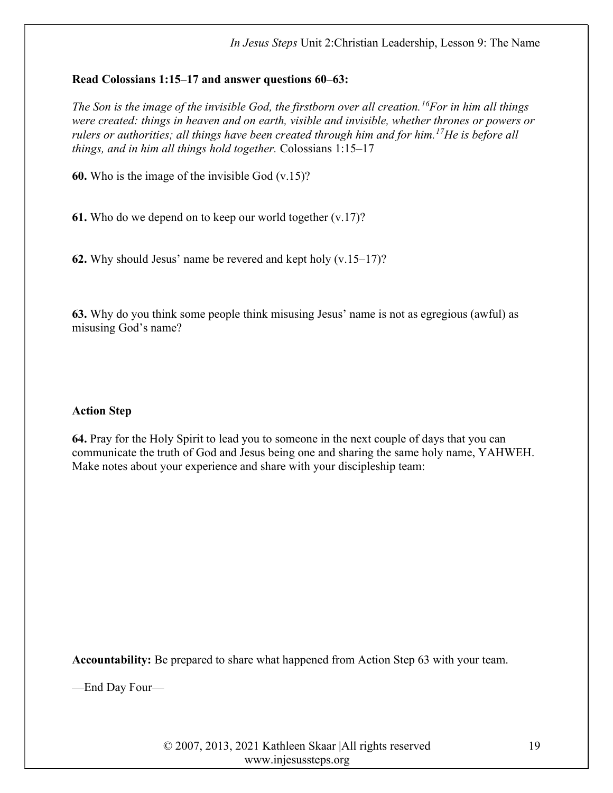## Read Colossians 1:15–17 and answer questions 60–63:

The Son is the image of the invisible God, the firstborn over all creation.<sup>16</sup>For in him all things were created: things in heaven and on earth, visible and invisible, whether thrones or powers or rulers or authorities; all things have been created through him and for him.<sup>17</sup>He is before all things, and in him all things hold together. Colossians 1:15–17

60. Who is the image of the invisible God  $(v.15)$ ?

61. Who do we depend on to keep our world together (v.17)?

62. Why should Jesus' name be revered and kept holy  $(v.15-17)$ ?

63. Why do you think some people think misusing Jesus' name is not as egregious (awful) as misusing God's name?

# Action Step

64. Pray for the Holy Spirit to lead you to someone in the next couple of days that you can communicate the truth of God and Jesus being one and sharing the same holy name, YAHWEH. Make notes about your experience and share with your discipleship team:

Accountability: Be prepared to share what happened from Action Step 63 with your team.

—End Day Four—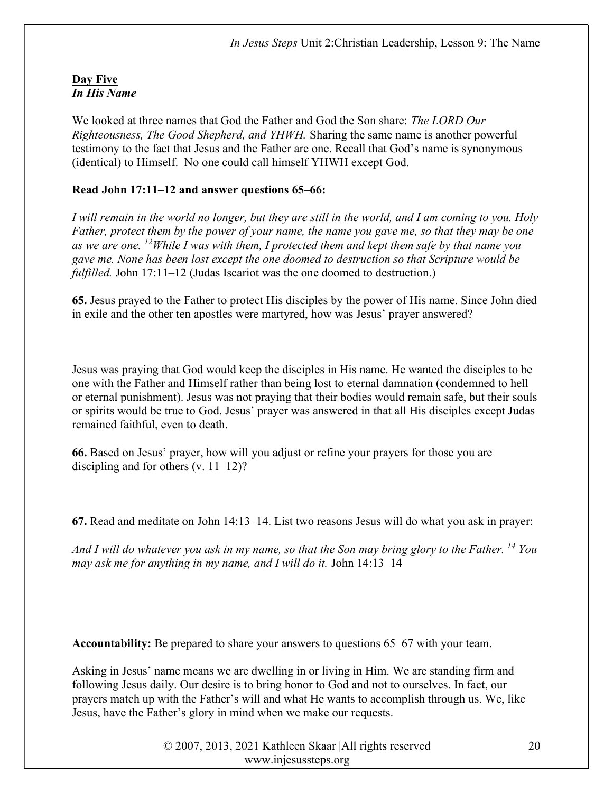## Day Five In His Name

We looked at three names that God the Father and God the Son share: The LORD Our Righteousness, The Good Shepherd, and YHWH. Sharing the same name is another powerful testimony to the fact that Jesus and the Father are one. Recall that God's name is synonymous (identical) to Himself. No one could call himself YHWH except God.

## Read John 17:11–12 and answer questions 65–66:

I will remain in the world no longer, but they are still in the world, and I am coming to you. Holy Father, protect them by the power of your name, the name you gave me, so that they may be one as we are one. <sup>12</sup>While I was with them, I protected them and kept them safe by that name you gave me. None has been lost except the one doomed to destruction so that Scripture would be fulfilled. John 17:11–12 (Judas Iscariot was the one doomed to destruction.)

65. Jesus prayed to the Father to protect His disciples by the power of His name. Since John died in exile and the other ten apostles were martyred, how was Jesus' prayer answered?

Jesus was praying that God would keep the disciples in His name. He wanted the disciples to be one with the Father and Himself rather than being lost to eternal damnation (condemned to hell or eternal punishment). Jesus was not praying that their bodies would remain safe, but their souls or spirits would be true to God. Jesus' prayer was answered in that all His disciples except Judas remained faithful, even to death.

66. Based on Jesus' prayer, how will you adjust or refine your prayers for those you are discipling and for others  $(v. 11-12)$ ?

67. Read and meditate on John 14:13–14. List two reasons Jesus will do what you ask in prayer:

And I will do whatever you ask in my name, so that the Son may bring glory to the Father. <sup>14</sup> You may ask me for anything in my name, and I will do it. John 14:13–14

Accountability: Be prepared to share your answers to questions 65–67 with your team.

Asking in Jesus' name means we are dwelling in or living in Him. We are standing firm and following Jesus daily. Our desire is to bring honor to God and not to ourselves. In fact, our prayers match up with the Father's will and what He wants to accomplish through us. We, like Jesus, have the Father's glory in mind when we make our requests.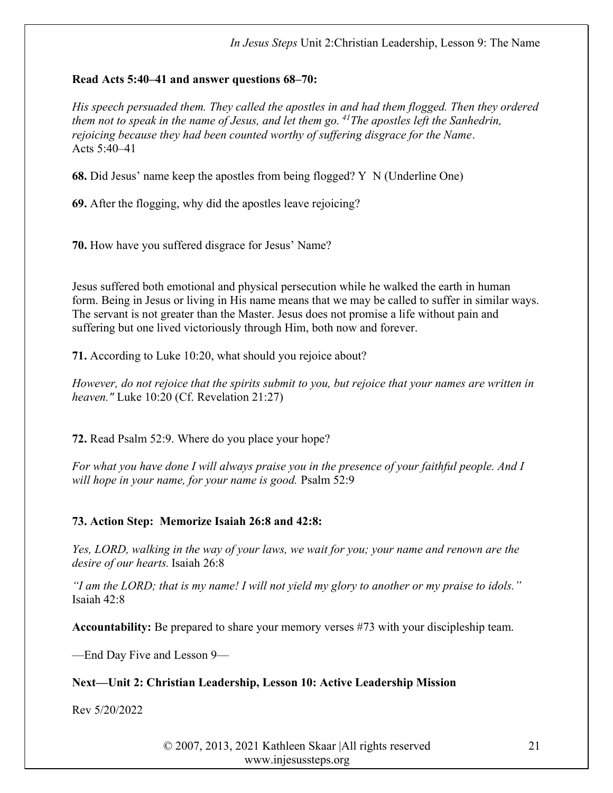## Read Acts 5:40–41 and answer questions 68–70:

His speech persuaded them. They called the apostles in and had them flogged. Then they ordered them not to speak in the name of Jesus, and let them go.  $^{41}$ The apostles left the Sanhedrin, rejoicing because they had been counted worthy of suffering disgrace for the Name. Acts 5:40–41

68. Did Jesus' name keep the apostles from being flogged? Y N (Underline One)

69. After the flogging, why did the apostles leave rejoicing?

70. How have you suffered disgrace for Jesus' Name?

Jesus suffered both emotional and physical persecution while he walked the earth in human form. Being in Jesus or living in His name means that we may be called to suffer in similar ways. The servant is not greater than the Master. Jesus does not promise a life without pain and suffering but one lived victoriously through Him, both now and forever.

71. According to Luke 10:20, what should you rejoice about?

However, do not rejoice that the spirits submit to you, but rejoice that your names are written in heaven." Luke 10:20 (Cf. Revelation 21:27)

72. Read Psalm 52:9. Where do you place your hope?

For what you have done I will always praise you in the presence of your faithful people. And I will hope in your name, for your name is good. Psalm 52:9

# 73. Action Step: Memorize Isaiah 26:8 and 42:8:

Yes, LORD, walking in the way of your laws, we wait for you; your name and renown are the desire of our hearts. Isaiah 26:8

"I am the LORD; that is my name! I will not yield my glory to another or my praise to idols." Isaiah 42:8

Accountability: Be prepared to share your memory verses #73 with your discipleship team.

—End Day Five and Lesson 9—

# Next—Unit 2: Christian Leadership, Lesson 10: Active Leadership Mission

Rev 5/20/2022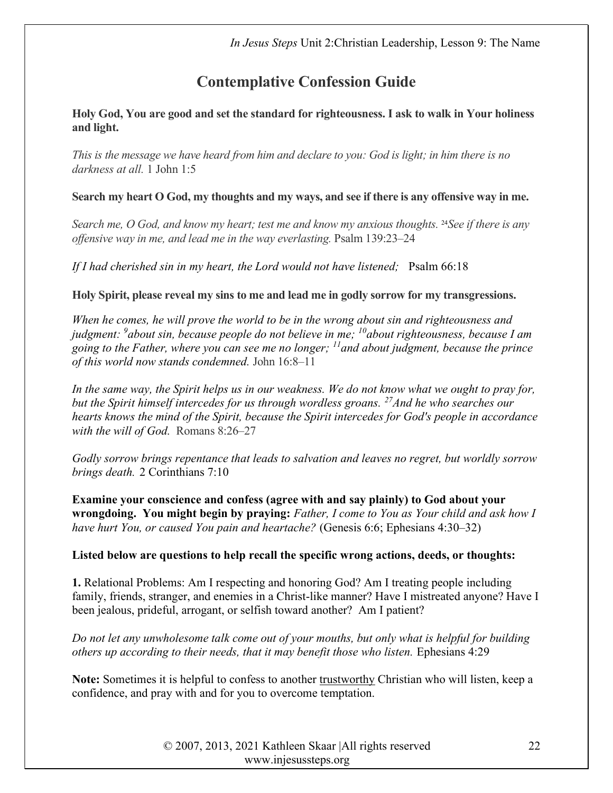# Contemplative Confession Guide

Holy God, You are good and set the standard for righteousness. I ask to walk in Your holiness and light.

This is the message we have heard from him and declare to you: God is light; in him there is no darkness at all. 1 John 1:5

Search my heart O God, my thoughts and my ways, and see if there is any offensive way in me.

Search me, O God, and know my heart; test me and know my anxious thoughts. <sup>24</sup>See if there is any offensive way in me, and lead me in the way everlasting. Psalm 139:23–24

If I had cherished sin in my heart, the Lord would not have listened; Psalm 66:18

Holy Spirit, please reveal my sins to me and lead me in godly sorrow for my transgressions.

When he comes, he will prove the world to be in the wrong about sin and righteousness and judgment:  $9a$ bout sin, because people do not believe in me;  $10a$ bout righteousness, because I am going to the Father, where you can see me no longer;  $\mu$  and about judgment, because the prince of this world now stands condemned. John 16:8–11

In the same way, the Spirit helps us in our weakness. We do not know what we ought to pray for, but the Spirit himself intercedes for us through wordless groans.  $^{27}$ And he who searches our hearts knows the mind of the Spirit, because the Spirit intercedes for God's people in accordance with the will of God. Romans 8:26–27

Godly sorrow brings repentance that leads to salvation and leaves no regret, but worldly sorrow brings death. 2 Corinthians 7:10

Examine your conscience and confess (agree with and say plainly) to God about your wrongdoing. You might begin by praying: Father, I come to You as Your child and ask how I have hurt You, or caused You pain and heartache? (Genesis 6:6; Ephesians 4:30–32)

# Listed below are questions to help recall the specific wrong actions, deeds, or thoughts:

1. Relational Problems: Am I respecting and honoring God? Am I treating people including family, friends, stranger, and enemies in a Christ-like manner? Have I mistreated anyone? Have I been jealous, prideful, arrogant, or selfish toward another? Am I patient?

Do not let any unwholesome talk come out of your mouths, but only what is helpful for building others up according to their needs, that it may benefit those who listen. Ephesians 4:29

Note: Sometimes it is helpful to confess to another trustworthy Christian who will listen, keep a confidence, and pray with and for you to overcome temptation.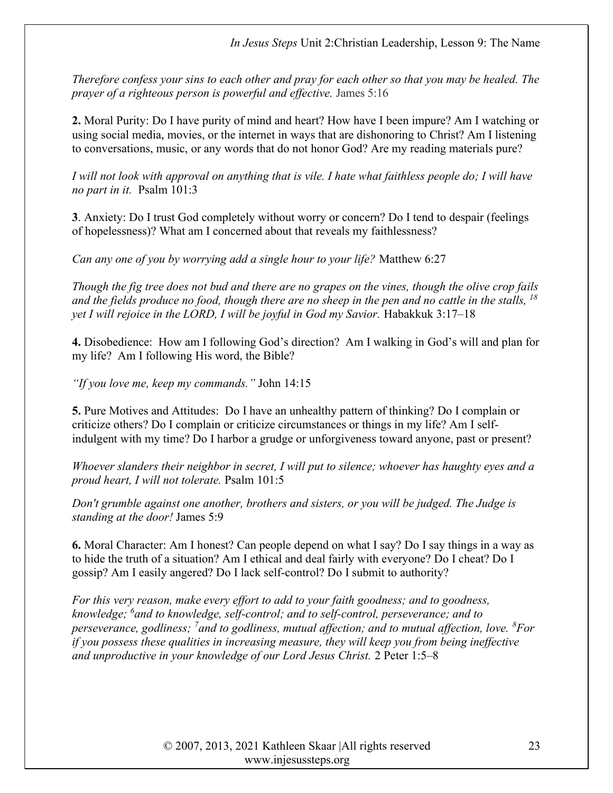Therefore confess your sins to each other and pray for each other so that you may be healed. The prayer of a righteous person is powerful and effective. James 5:16

2. Moral Purity: Do I have purity of mind and heart? How have I been impure? Am I watching or using social media, movies, or the internet in ways that are dishonoring to Christ? Am I listening to conversations, music, or any words that do not honor God? Are my reading materials pure?

I will not look with approval on anything that is vile. I hate what faithless people do; I will have no part in it. Psalm 101:3

3. Anxiety: Do I trust God completely without worry or concern? Do I tend to despair (feelings of hopelessness)? What am I concerned about that reveals my faithlessness?

Can any one of you by worrying add a single hour to your life? Matthew 6:27

Though the fig tree does not bud and there are no grapes on the vines, though the olive crop fails and the fields produce no food, though there are no sheep in the pen and no cattle in the stalls,  $^{18}$ yet I will rejoice in the LORD, I will be joyful in God my Savior. Habakkuk 3:17–18

4. Disobedience: How am I following God's direction? Am I walking in God's will and plan for my life? Am I following His word, the Bible?

"If you love me, keep my commands." John 14:15

5. Pure Motives and Attitudes: Do I have an unhealthy pattern of thinking? Do I complain or criticize others? Do I complain or criticize circumstances or things in my life? Am I selfindulgent with my time? Do I harbor a grudge or unforgiveness toward anyone, past or present?

Whoever slanders their neighbor in secret, I will put to silence; whoever has haughty eyes and a proud heart, I will not tolerate. Psalm 101:5

Don't grumble against one another, brothers and sisters, or you will be judged. The Judge is standing at the door! James 5:9

6. Moral Character: Am I honest? Can people depend on what I say? Do I say things in a way as to hide the truth of a situation? Am I ethical and deal fairly with everyone? Do I cheat? Do I gossip? Am I easily angered? Do I lack self-control? Do I submit to authority?

For this very reason, make every effort to add to your faith goodness; and to goodness, knowledge; <sup>6</sup>and to knowledge, self-control; and to self-control, perseverance; and to perseverance, godliness; <sup>7</sup>and to godliness, mutual affection; and to mutual affection, love.  ${}^{8}$ For if you possess these qualities in increasing measure, they will keep you from being ineffective and unproductive in your knowledge of our Lord Jesus Christ. 2 Peter 1:5–8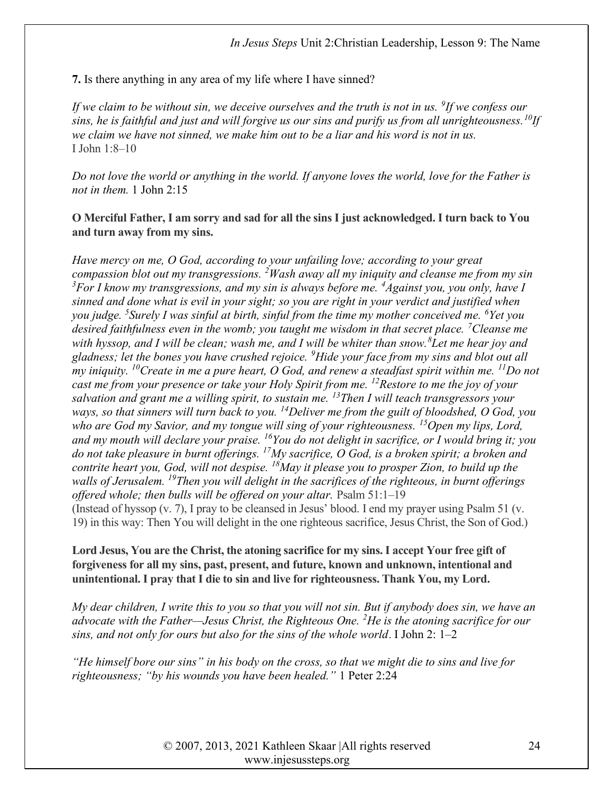7. Is there anything in any area of my life where I have sinned?

If we claim to be without sin, we deceive ourselves and the truth is not in us.  $9$ If we confess our sins, he is faithful and just and will forgive us our sins and purify us from all unrighteousness.  ${}^{10}$ If we claim we have not sinned, we make him out to be a liar and his word is not in us. I John 1:8–10

Do not love the world or anything in the world. If anyone loves the world, love for the Father is not in them. 1 John 2:15

O Merciful Father, I am sorry and sad for all the sins I just acknowledged. I turn back to You and turn away from my sins.

Have mercy on me, O God, according to your unfailing love; according to your great compassion blot out my transgressions. <sup>2</sup>Wash away all my iniquity and cleanse me from my sin  $3$ For I know my transgressions, and my sin is always before me.  $4$ Against you, you only, have I sinned and done what is evil in your sight; so you are right in your verdict and justified when you judge. <sup>5</sup>Surely I was sinful at birth, sinful from the time my mother conceived me. <sup>6</sup>Yet you desired faithfulness even in the womb; you taught me wisdom in that secret place. <sup>7</sup>Cleanse me with hyssop, and I will be clean; wash me, and I will be whiter than snow. <sup>8</sup>Let me hear joy and gladness; let the bones you have crushed rejoice.  $\mathscr{P}$ Hide your face from my sins and blot out all my iniquity. <sup>10</sup>Create in me a pure heart, O God, and renew a steadfast spirit within me. <sup>11</sup>Do not cast me from your presence or take your Holy Spirit from me. <sup>12</sup>Restore to me the joy of your salvation and grant me a willing spirit, to sustain me.  $^{13}$ Then I will teach transgressors your ways, so that sinners will turn back to you.  $^{14}$ Deliver me from the guilt of bloodshed, O God, you who are God my Savior, and my tongue will sing of your righteousness.  $^{15}$ Open my lips, Lord, and my mouth will declare your praise.  $^{16}$ You do not delight in sacrifice, or I would bring it; you do not take pleasure in burnt offerings. <sup>17</sup>My sacrifice, O God, is a broken spirit; a broken and contrite heart you, God, will not despise.  $^{18}$ May it please you to prosper Zion, to build up the walls of Jerusalem. <sup>19</sup>Then you will delight in the sacrifices of the righteous, in burnt offerings offered whole; then bulls will be offered on your altar. Psalm 51:1–19 (Instead of hyssop (v. 7), I pray to be cleansed in Jesus' blood. I end my prayer using Psalm 51 (v. 19) in this way: Then You will delight in the one righteous sacrifice, Jesus Christ, the Son of God.)

## Lord Jesus, You are the Christ, the atoning sacrifice for my sins. I accept Your free gift of forgiveness for all my sins, past, present, and future, known and unknown, intentional and unintentional. I pray that I die to sin and live for righteousness. Thank You, my Lord.

My dear children, I write this to you so that you will not sin. But if anybody does sin, we have an advocate with the Father—Jesus Christ, the Righteous One.  $^{2}$ He is the atoning sacrifice for our sins, and not only for ours but also for the sins of the whole world. I John 2:  $1-2$ 

"He himself bore our sins" in his body on the cross, so that we might die to sins and live for righteousness; "by his wounds you have been healed." 1 Peter 2:24